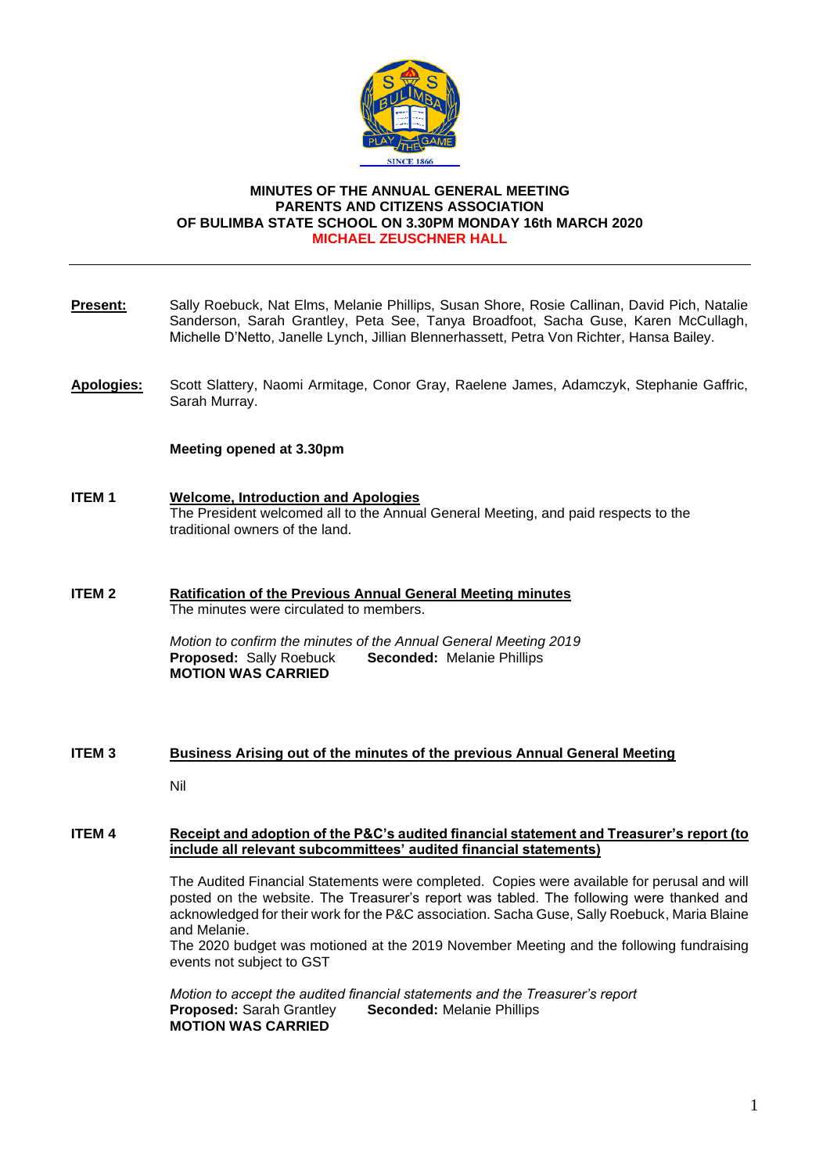

### **MINUTES OF THE ANNUAL GENERAL MEETING PARENTS AND CITIZENS ASSOCIATION OF BULIMBA STATE SCHOOL ON 3.30PM MONDAY 16th MARCH 2020 MICHAEL ZEUSCHNER HALL**

- **Present:** Sally Roebuck, Nat Elms, Melanie Phillips, Susan Shore, Rosie Callinan, David Pich, Natalie Sanderson, Sarah Grantley, Peta See, Tanya Broadfoot, Sacha Guse, Karen McCullagh, Michelle D'Netto, Janelle Lynch, Jillian Blennerhassett, Petra Von Richter, Hansa Bailey.
- **Apologies:** Scott Slattery, Naomi Armitage, Conor Gray, Raelene James, Adamczyk, Stephanie Gaffric, Sarah Murray.

#### **Meeting opened at 3.30pm**

- **ITEM 1 Welcome, Introduction and Apologies** The President welcomed all to the Annual General Meeting, and paid respects to the traditional owners of the land.
- **ITEM 2 Ratification of the Previous Annual General Meeting minutes** The minutes were circulated to members.

*Motion to confirm the minutes of the Annual General Meeting 2019* **Proposed:** Sally Roebuck **Seconded:** Melanie Phillips **MOTION WAS CARRIED**

## **ITEM 3 Business Arising out of the minutes of the previous Annual General Meeting**

Nil

#### **ITEM 4 Receipt and adoption of the P&C's audited financial statement and Treasurer's report (to include all relevant subcommittees' audited financial statements)**

The Audited Financial Statements were completed. Copies were available for perusal and will posted on the website. The Treasurer's report was tabled. The following were thanked and acknowledged for their work for the P&C association. Sacha Guse, Sally Roebuck, Maria Blaine and Melanie.

The 2020 budget was motioned at the 2019 November Meeting and the following fundraising events not subject to GST

*Motion to accept the audited financial statements and the Treasurer's report* **Proposed:** Sarah Grantley **Seconded:** Melanie Phillips **MOTION WAS CARRIED**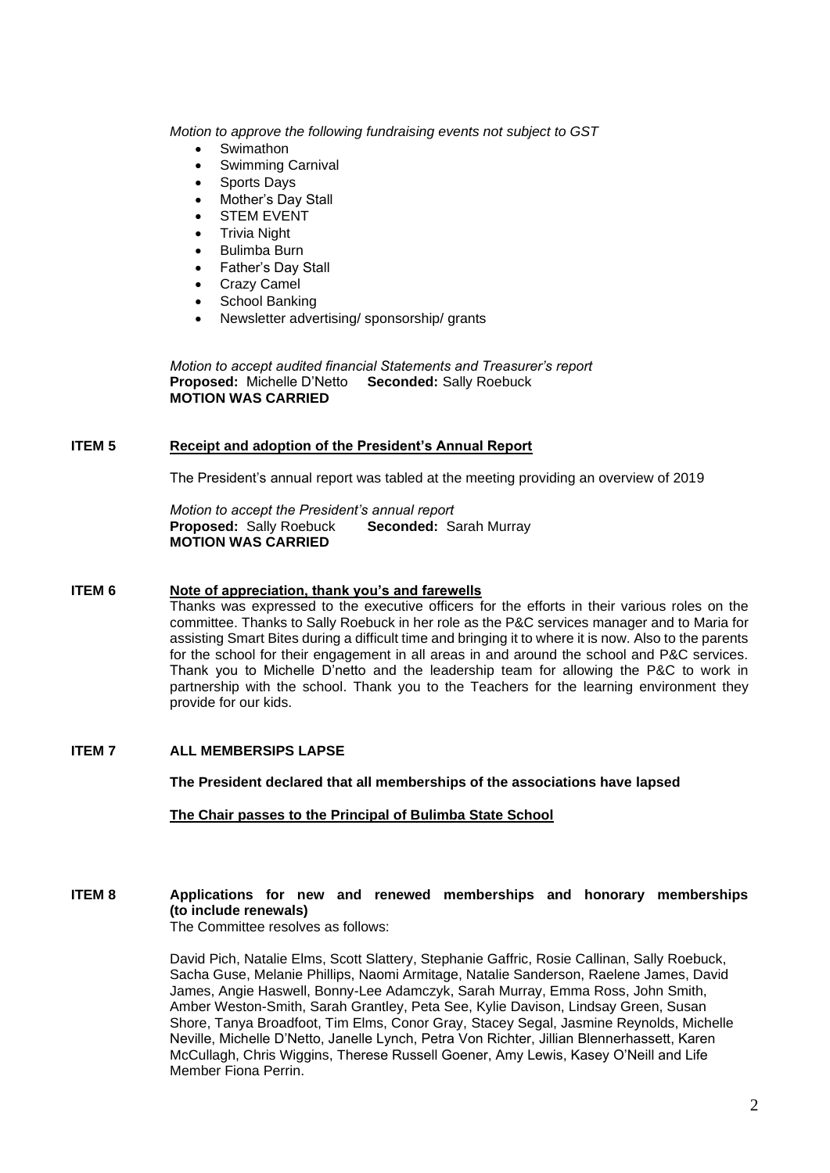*Motion to approve the following fundraising events not subject to GST*

- **Swimathon**
- Swimming Carnival
- Sports Days
- Mother's Day Stall
- **STEM EVENT**
- Trivia Night
- Bulimba Burn
- Father's Day Stall
- Crazy Camel
- School Banking
- Newsletter advertising/ sponsorship/ grants

*Motion to accept audited financial Statements and Treasurer's report* **Proposed:** Michelle D'Netto **Seconded:** Sally Roebuck **MOTION WAS CARRIED**

## **ITEM 5 Receipt and adoption of the President's Annual Report**

The President's annual report was tabled at the meeting providing an overview of 2019

*Motion to accept the President's annual report* **Proposed:** Sally Roebuck **Seconded:** Sarah Murray **MOTION WAS CARRIED**

### **ITEM 6 Note of appreciation, thank you's and farewells**

Thanks was expressed to the executive officers for the efforts in their various roles on the committee. Thanks to Sally Roebuck in her role as the P&C services manager and to Maria for assisting Smart Bites during a difficult time and bringing it to where it is now. Also to the parents for the school for their engagement in all areas in and around the school and P&C services. Thank you to Michelle D'netto and the leadership team for allowing the P&C to work in partnership with the school. Thank you to the Teachers for the learning environment they provide for our kids.

## **ITEM 7 ALL MEMBERSIPS LAPSE**

**The President declared that all memberships of the associations have lapsed**

## **The Chair passes to the Principal of Bulimba State School**

# **ITEM 8 Applications for new and renewed memberships and honorary memberships (to include renewals)**

The Committee resolves as follows:

David Pich, Natalie Elms, Scott Slattery, Stephanie Gaffric, Rosie Callinan, Sally Roebuck, Sacha Guse, Melanie Phillips, Naomi Armitage, Natalie Sanderson, Raelene James, David James, Angie Haswell, Bonny-Lee Adamczyk, Sarah Murray, Emma Ross, John Smith, Amber Weston-Smith, Sarah Grantley, Peta See, Kylie Davison, Lindsay Green, Susan Shore, Tanya Broadfoot, Tim Elms, Conor Gray, Stacey Segal, Jasmine Reynolds, Michelle Neville, Michelle D'Netto, Janelle Lynch, Petra Von Richter, Jillian Blennerhassett, Karen McCullagh, Chris Wiggins, Therese Russell Goener, Amy Lewis, Kasey O'Neill and Life Member Fiona Perrin.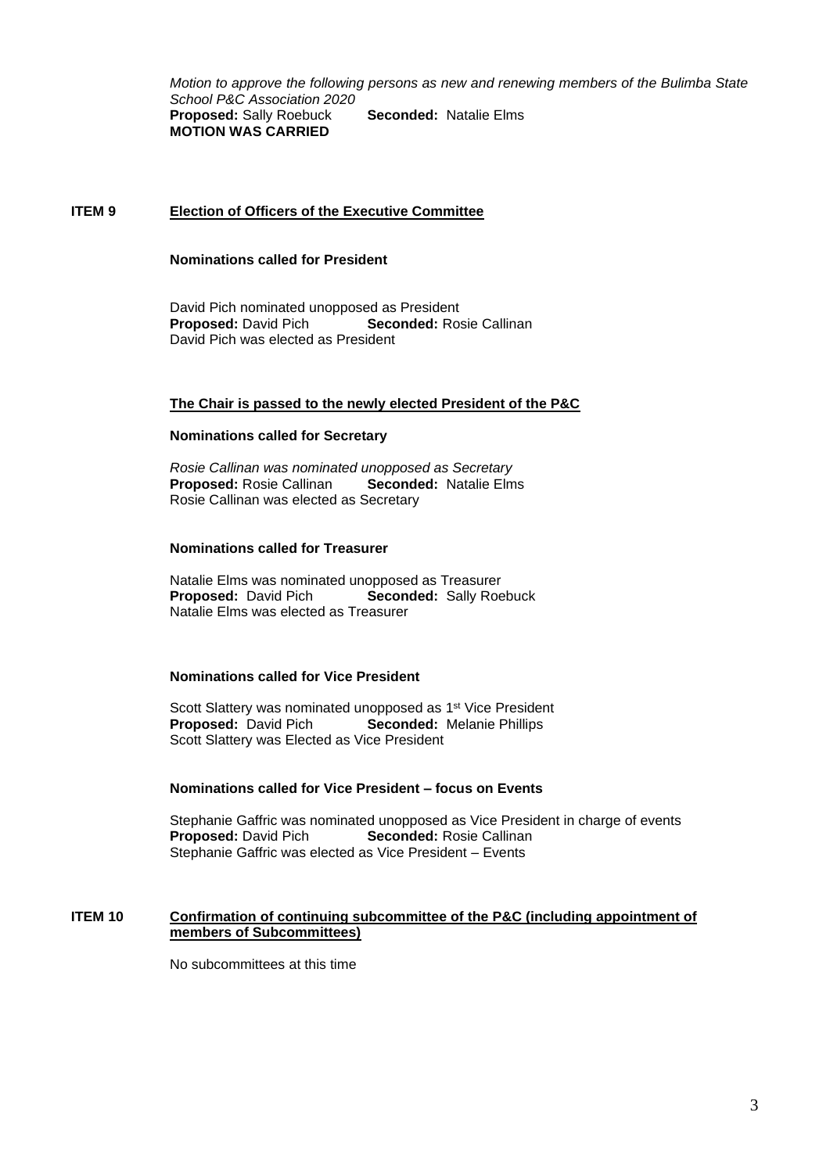*Motion to approve the following persons as new and renewing members of the Bulimba State School P&C Association 2020* **Proposed:** Sally Roebuck **Seconded:** Natalie Elms **MOTION WAS CARRIED**

#### **ITEM 9 Election of Officers of the Executive Committee**

#### **Nominations called for President**

David Pich nominated unopposed as President **Proposed:** David Pich **Seconded:** Rosie Callinan David Pich was elected as President

#### **The Chair is passed to the newly elected President of the P&C**

#### **Nominations called for Secretary**

*Rosie Callinan was nominated unopposed as Secretary* **Proposed:** Rosie Callinan **Seconded:** Natalie Elms Rosie Callinan was elected as Secretary

#### **Nominations called for Treasurer**

Natalie Elms was nominated unopposed as Treasurer<br> **Proposed:** David Pich **Seconded:** Sally Roe **Seconded: Sally Roebuck** Natalie Elms was elected as Treasurer

#### **Nominations called for Vice President**

Scott Slattery was nominated unopposed as 1<sup>st</sup> Vice President **Proposed:** David Pich **Seconded:** Melanie Phillips Scott Slattery was Elected as Vice President

#### **Nominations called for Vice President – focus on Events**

Stephanie Gaffric was nominated unopposed as Vice President in charge of events **Proposed:** David Pich **Seconded:** Rosie Callinan Stephanie Gaffric was elected as Vice President – Events

## **ITEM 10 Confirmation of continuing subcommittee of the P&C (including appointment of members of Subcommittees)**

No subcommittees at this time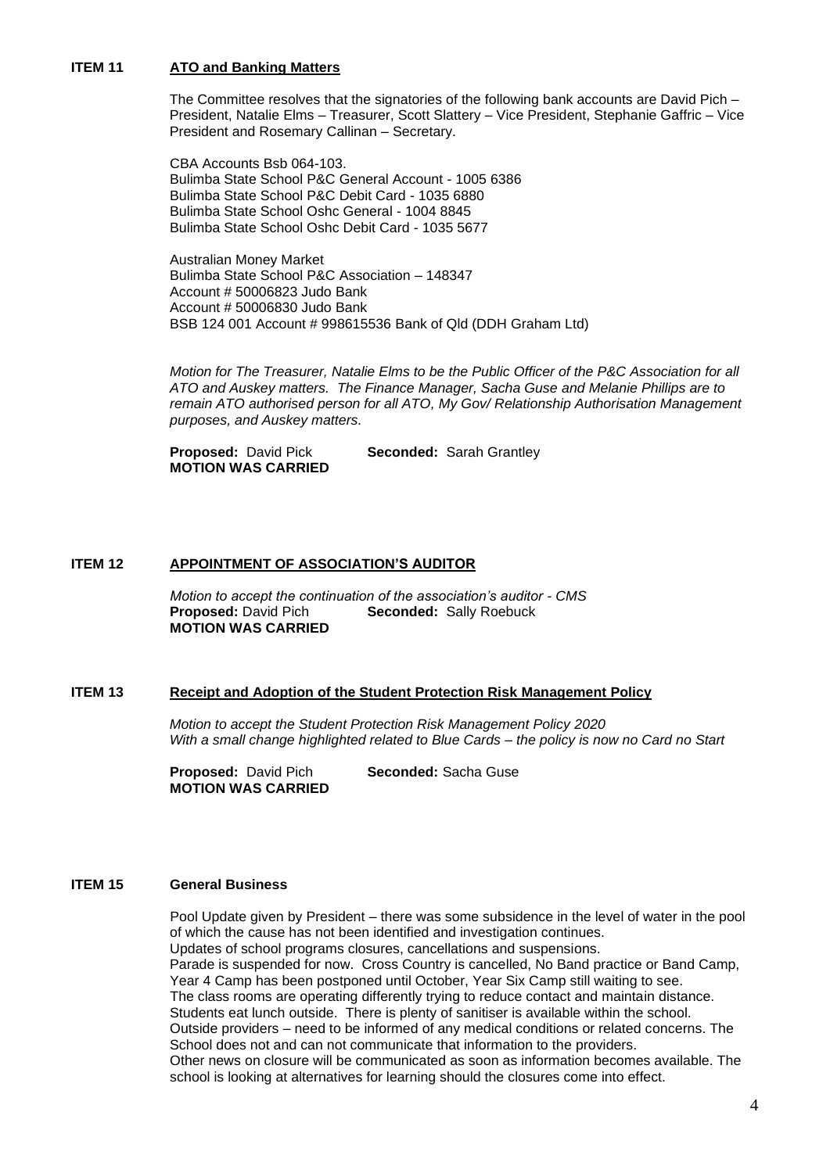## **ITEM 11 ATO and Banking Matters**

The Committee resolves that the signatories of the following bank accounts are David Pich – President, Natalie Elms – Treasurer, Scott Slattery – Vice President, Stephanie Gaffric – Vice President and Rosemary Callinan – Secretary.

CBA Accounts Bsb 064-103. Bulimba State School P&C General Account - 1005 6386 Bulimba State School P&C Debit Card - 1035 6880 Bulimba State School Oshc General - 1004 8845 Bulimba State School Oshc Debit Card - 1035 5677

Australian Money Market Bulimba State School P&C Association – 148347 Account # 50006823 Judo Bank Account # 50006830 Judo Bank BSB 124 001 Account # 998615536 Bank of Qld (DDH Graham Ltd)

*Motion for The Treasurer, Natalie Elms to be the Public Officer of the P&C Association for all ATO and Auskey matters. The Finance Manager, Sacha Guse and Melanie Phillips are to remain ATO authorised person for all ATO, My Gov/ Relationship Authorisation Management purposes, and Auskey matters.*

**Proposed: David Pick <b>Seconded:** Sarah Grantley **MOTION WAS CARRIED**

## **ITEM 12 APPOINTMENT OF ASSOCIATION'S AUDITOR**

*Motion to accept the continuation of the association's auditor - CMS* **Proposed:** David Pich **Seconded:** Sally Roebuck **MOTION WAS CARRIED**

#### **ITEM 13 Receipt and Adoption of the Student Protection Risk Management Policy**

*Motion to accept the Student Protection Risk Management Policy 2020 With a small change highlighted related to Blue Cards – the policy is now no Card no Start* 

**Proposed:** David Pich **Seconded:** Sacha Guse **MOTION WAS CARRIED**

#### **ITEM 15 General Business**

Pool Update given by President – there was some subsidence in the level of water in the pool of which the cause has not been identified and investigation continues. Updates of school programs closures, cancellations and suspensions. Parade is suspended for now. Cross Country is cancelled, No Band practice or Band Camp, Year 4 Camp has been postponed until October, Year Six Camp still waiting to see. The class rooms are operating differently trying to reduce contact and maintain distance. Students eat lunch outside. There is plenty of sanitiser is available within the school. Outside providers – need to be informed of any medical conditions or related concerns. The School does not and can not communicate that information to the providers. Other news on closure will be communicated as soon as information becomes available. The school is looking at alternatives for learning should the closures come into effect.